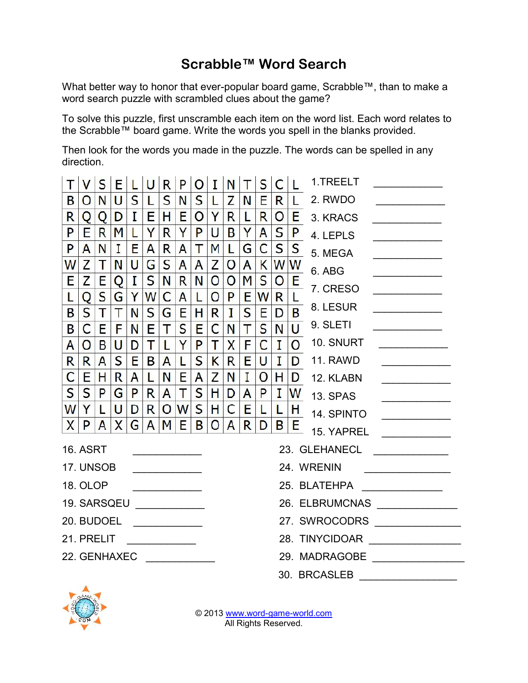## **Scrabble™ Word Search**

What better way to honor that ever-popular board game, Scrabble™, than to make a word search puzzle with scrambled clues about the game?

To solve this puzzle, first unscramble each item on the word list. Each word relates to the Scrabble™ board game. Write the words you spell in the blanks provided.

Then look for the words you made in the puzzle. The words can be spelled in any direction.

| T                      | <b>V</b>        | S  |             |              | E L U R      |                | P                         | $\overline{O}$ | $\mathbf{T}$                   | N              | $\mathbb{T}$ | $\mathsf{S}$                                                                                |                |     | $C L$ 1.TREELT             |  |  |
|------------------------|-----------------|----|-------------|--------------|--------------|----------------|---------------------------|----------------|--------------------------------|----------------|--------------|---------------------------------------------------------------------------------------------|----------------|-----|----------------------------|--|--|
| B                      | $\overline{O}$  | N  | U           | S            | L            | $\mathsf{S}$   | N                         | S.             | $\mathsf{L}$                   | Z              | N            | Е                                                                                           | R              |     | L 2. RWDO                  |  |  |
| R                      | Q               | Q  | D           | $\mathbf{I}$ | Е            | H              | E                         | $\mathsf{O}$   | Y                              | R              | L            | R                                                                                           | $\overline{O}$ |     | E 3. KRACS                 |  |  |
| P                      | E.              | R  | M           |              | Y            | R              | Y                         | P              | U                              | B              | Y            | A                                                                                           |                |     | $S P$ 4. LEPLS             |  |  |
| P                      | A               | N  | $\mathbf I$ | Е            | A            | R              | A                         | Τ              | M                              | $\mathbf{L}$   | G            | $\mathsf{C}$                                                                                |                |     | $S \mid S$ 5. MEGA         |  |  |
| W                      | Z               | Т  | N           | U            | G            | S              | $\mathsf{A}$              | A              | $\mathsf{Z}$                   | $\mathbf{O}$   | $\mathsf{A}$ | K                                                                                           |                | WW  | 6. ABG                     |  |  |
| Е                      | Z               | E  | Q           | $\mathbf{I}$ | S            | N              | R                         | N              | O                              | $\overline{O}$ | M            | S                                                                                           |                | O E | $\frac{1}{L}$ 7. CRESO     |  |  |
| L.                     | Q               | S  | G           | Y            | W            | C              | A                         | L              | $\circ$                        | P              | E            | W                                                                                           | R              |     | $\overline{B}$ 8. LESUR    |  |  |
| B                      | S.              | Τ  | Τ           | N            | S            | G              | E                         | H              | R                              | $\mathbf{I}$   | S            | E                                                                                           | D              |     |                            |  |  |
| B                      | C               | E. | F.          | N            | E            | Τ              | S                         | E              | $\mathsf{C}$                   | N              | $\mathsf{T}$ | $\mathsf{S}$                                                                                | N.             |     | $\overline{U}$ 9. SLETI    |  |  |
| A                      | $\overline{O}$  | B  | U           | D            | T            | L              | Y                         | P              | $\mathsf{T}$                   | X              | F.           | $\mathsf{C}$                                                                                | $\mathbf{I}$   |     | O 10. SNURT                |  |  |
| R                      | R               | A  | S           | E            | B            | A              | L.                        | S.             | K                              | R              | E            | U                                                                                           | $\mathbf{I}$   |     | D 11. RAWD                 |  |  |
| $\mathsf{C}$           | E               | H  | R           | A            | L            | N              | $E_{\parallel}$           | A              | Z                              | N              | $\mathbf{I}$ | $\mathsf{O}$                                                                                | H              |     | D 12. KLABN                |  |  |
| $\mathsf{S}$           | S               | P  | G           | P            | R            | A              | T                         | S.             | H                              | D              | A            | P                                                                                           |                |     | $I$ $ W$ 13. SPAS          |  |  |
|                        | WY              | L  | U           | D            | R.           | $\overline{O}$ | $W$ S                     |                | H                              | $\mathsf{C}$   | E            | $\mathsf{L}% _{0}\!\left( \mathsf{L}\right) \equiv\mathsf{L}_{0}\!\left( \mathsf{L}\right)$ |                |     | $L$ $H$ 14. SPINTO         |  |  |
|                        | X P             | A  | X           | G            | $\mathsf{A}$ | M              | E                         | B              | $\circ$                        | A              | R            | D                                                                                           | B              |     | $E_{\parallel}$ 15. YAPREL |  |  |
|                        | <b>16. ASRT</b> |    |             |              |              |                |                           |                |                                | 23. GLEHANECL  |              |                                                                                             |                |     |                            |  |  |
|                        | 17. UNSOB       |    |             |              |              |                |                           |                | 24. WRENIN                     |                |              |                                                                                             |                |     |                            |  |  |
|                        | 18. OLOP        |    |             |              |              |                |                           |                | 25. BLATEHPA                   |                |              |                                                                                             |                |     |                            |  |  |
|                        |                 |    |             |              |              |                | 19. SARSQEU _____________ |                | 26. ELBRUMCNAS _______________ |                |              |                                                                                             |                |     |                            |  |  |
| 20. BUDOEL ___________ |                 |    |             |              |              |                |                           |                |                                |                |              |                                                                                             |                |     |                            |  |  |
| 21. PRELIT             |                 |    |             |              |              |                |                           |                | 28. TINYCIDOAR                 |                |              |                                                                                             |                |     |                            |  |  |
| 22. GENHAXEC           |                 |    |             |              |              |                |                           |                | 29. MADRAGOBE                  |                |              |                                                                                             |                |     |                            |  |  |
|                        |                 |    |             |              |              |                |                           |                |                                |                |              |                                                                                             |                |     | 30. BRCASLEB               |  |  |